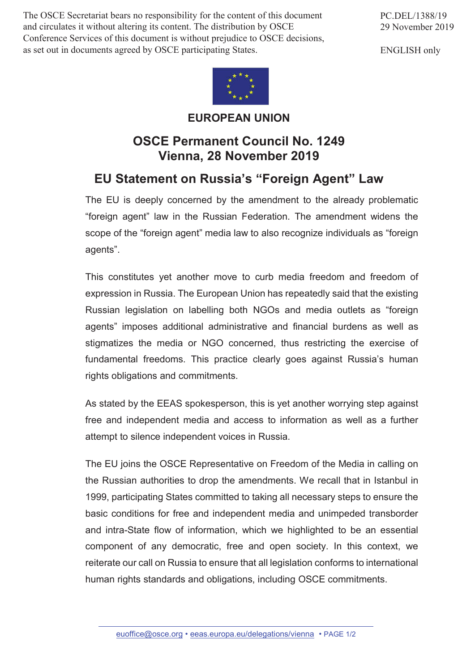The OSCE Secretariat bears no responsibility for the content of this document and circulates it without altering its content. The distribution by OSCE Conference Services of this document is without prejudice to OSCE decisions, as set out in documents agreed by OSCE participating States.



ENGLISH only



## **EUROPEAN UNION**

## **OSCE Permanent Council No. 1249 Vienna, 28 November 2019**

## **EU Statement on Russia's "Foreign Agent" Law**

The EU is deeply concerned by the amendment to the already problematic "foreign agent" law in the Russian Federation. The amendment widens the scope of the "foreign agent" media law to also recognize individuals as "foreign agents".

This constitutes yet another move to curb media freedom and freedom of expression in Russia. The European Union has repeatedly said that the existing Russian legislation on labelling both NGOs and media outlets as "foreign agents" imposes additional administrative and financial burdens as well as stigmatizes the media or NGO concerned, thus restricting the exercise of fundamental freedoms. This practice clearly goes against Russia's human rights obligations and commitments.

As stated by the EEAS spokesperson, this is yet another worrying step against free and independent media and access to information as well as a further attempt to silence independent voices in Russia.

The EU joins the OSCE Representative on Freedom of the Media in calling on the Russian authorities to drop the amendments. We recall that in Istanbul in 1999, participating States committed to taking all necessary steps to ensure the basic conditions for free and independent media and unimpeded transborder and intra-State flow of information, which we highlighted to be an essential component of any democratic, free and open society. In this context, we reiterate our call on Russia to ensure that all legislation conforms to international human rights standards and obligations, including OSCE commitments.